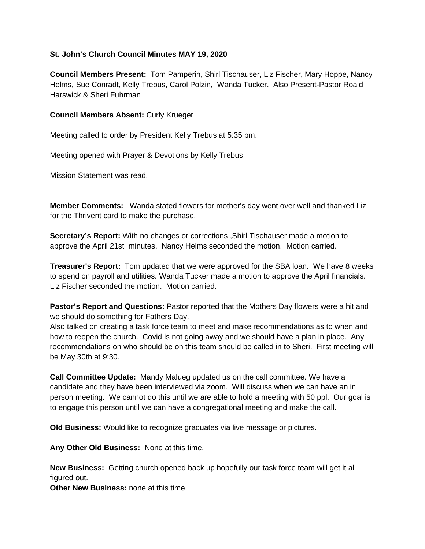## **St. John's Church Council Minutes MAY 19, 2020**

**Council Members Present:** Tom Pamperin, Shirl Tischauser, Liz Fischer, Mary Hoppe, Nancy Helms, Sue Conradt, Kelly Trebus, Carol Polzin, Wanda Tucker. Also Present-Pastor Roald Harswick & Sheri Fuhrman

## **Council Members Absent:** Curly Krueger

Meeting called to order by President Kelly Trebus at 5:35 pm.

Meeting opened with Prayer & Devotions by Kelly Trebus

Mission Statement was read.

**Member Comments:** Wanda stated flowers for mother's day went over well and thanked Liz for the Thrivent card to make the purchase.

**Secretary's Report:** With no changes or corrections ,Shirl Tischauser made a motion to approve the April 21st minutes. Nancy Helms seconded the motion. Motion carried.

**Treasurer's Report:** Tom updated that we were approved for the SBA loan. We have 8 weeks to spend on payroll and utilities. Wanda Tucker made a motion to approve the April financials. Liz Fischer seconded the motion. Motion carried.

**Pastor's Report and Questions:** Pastor reported that the Mothers Day flowers were a hit and we should do something for Fathers Day.

Also talked on creating a task force team to meet and make recommendations as to when and how to reopen the church. Covid is not going away and we should have a plan in place. Any recommendations on who should be on this team should be called in to Sheri. First meeting will be May 30th at 9:30.

**Call Committee Update:** Mandy Malueg updated us on the call committee. We have a candidate and they have been interviewed via zoom. Will discuss when we can have an in person meeting. We cannot do this until we are able to hold a meeting with 50 ppl. Our goal is to engage this person until we can have a congregational meeting and make the call.

**Old Business:** Would like to recognize graduates via live message or pictures.

**Any Other Old Business:** None at this time.

**New Business:** Getting church opened back up hopefully our task force team will get it all figured out.

**Other New Business:** none at this time